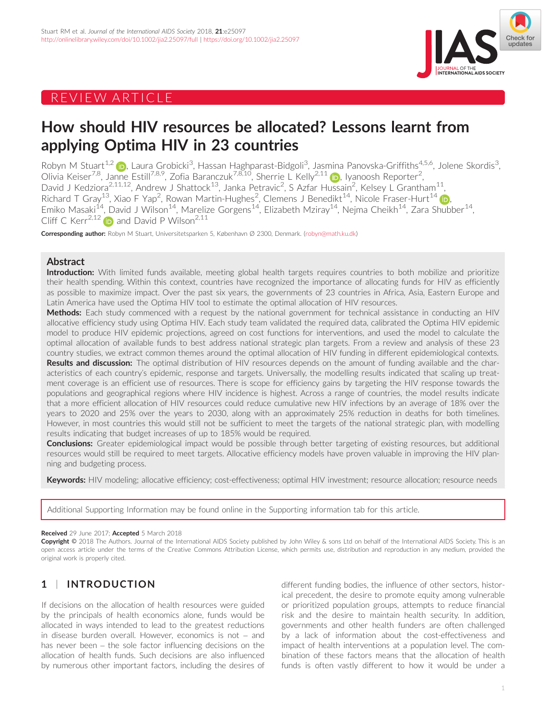# REVIEW ARTICLE



# How should HIV resources be allocated? Lessons learnt from applying Optima HIV in 23 countries

Robyn M Stuart<sup>1,2</sup> (<mark>p</mark>), Laura Grobicki<sup>3</sup>, Hassan Haghparast-Bidgoli<sup>3</sup>, Jasmina Panovska-Griffiths<sup>4,5,6</sup>, Jolene Skordis<sup>3</sup> , Olivia Keiser<sup>7,8</sup>, Janne Estill<sup>7,8,9</sup>, Zofia Baranczuk<sup>7,8,10</sup>, Sherrie L Kelly<sup>2,11</sup> (D), Iyanoosh Reporter<sup>2</sup> , David J Kedziora<sup>2,11,12</sup>, Andrew J Shattock<sup>13</sup>, Janka Petravic<sup>2</sup>, S Azfar Hussain<sup>2</sup>, Kelsey L Grantham<sup>11</sup>, Richard T Gray $^{13}$ , Xiao F Yap<sup>2</sup>, Rowan Martin-Hughes<sup>2</sup>, Clemens J Benedikt $^{14}$  $^{14}$  $^{14}$ , Nicole Fraser-Hurt $^{14}$  (D) Emiko Masaki<sup>14</sup>, David J Wilson<sup>14</sup>, Marelize Gorgens<sup>14</sup>, Elizabeth Mziray<sup>14</sup>, Nejma Cheikh<sup>14</sup>, Zara Shubber<sup>14</sup>, Cliff C Kerr<sup>2,12</sup>  $\bullet$  and David P Wilson<sup>2,11</sup>

Corresponding author: Robyn M Stuart, Universitetsparken 5, København Ø 2300, Denmark. ([robyn@math.ku.dk\)](mailto:robyn@math.ku.dk)

## Abstract

Introduction: With limited funds available, meeting global health targets requires countries to both mobilize and prioritize their health spending. Within this context, countries have recognized the importance of allocating funds for HIV as efficiently as possible to maximize impact. Over the past six years, the governments of 23 countries in Africa, Asia, Eastern Europe and Latin America have used the Optima HIV tool to estimate the optimal allocation of HIV resources.

Methods: Each study commenced with a request by the national government for technical assistance in conducting an HIV allocative efficiency study using Optima HIV. Each study team validated the required data, calibrated the Optima HIV epidemic model to produce HIV epidemic projections, agreed on cost functions for interventions, and used the model to calculate the optimal allocation of available funds to best address national strategic plan targets. From a review and analysis of these 23 country studies, we extract common themes around the optimal allocation of HIV funding in different epidemiological contexts. Results and discussion: The optimal distribution of HIV resources depends on the amount of funding available and the characteristics of each country's epidemic, response and targets. Universally, the modelling results indicated that scaling up treatment coverage is an efficient use of resources. There is scope for efficiency gains by targeting the HIV response towards the populations and geographical regions where HIV incidence is highest. Across a range of countries, the model results indicate that a more efficient allocation of HIV resources could reduce cumulative new HIV infections by an average of 18% over the years to 2020 and 25% over the years to 2030, along with an approximately 25% reduction in deaths for both timelines. However, in most countries this would still not be sufficient to meet the targets of the national strategic plan, with modelling results indicating that budget increases of up to 185% would be required.

Conclusions: Greater epidemiological impact would be possible through better targeting of existing resources, but additional resources would still be required to meet targets. Allocative efficiency models have proven valuable in improving the HIV planning and budgeting process.

Keywords: HIV modeling; allocative efficiency; cost-effectiveness; optimal HIV investment; resource allocation; resource needs

Additional Supporting Information may be found online in the Supporting information tab for this article.

#### Received 29 June 2017: Accepted 5 March 2018

Copyright © 2018 The Authors. Journal of the International AIDS Society published by John Wiley & sons Ltd on behalf of the International AIDS Society. This is an open access article under the terms of the [Creative Commons Attribution](http://creativecommons.org/licenses/by/4.0/) License, which permits use, distribution and reproduction in any medium, provided the original work is properly cited.

# 1 | INTRODUCTION

If decisions on the allocation of health resources were guided by the principals of health economics alone, funds would be allocated in ways intended to lead to the greatest reductions in disease burden overall. However, economics is not – and has never been – the sole factor influencing decisions on the allocation of health funds. Such decisions are also influenced by numerous other important factors, including the desires of

different funding bodies, the influence of other sectors, historical precedent, the desire to promote equity among vulnerable or prioritized population groups, attempts to reduce financial risk and the desire to maintain health security. In addition, governments and other health funders are often challenged by a lack of information about the cost-effectiveness and impact of health interventions at a population level. The combination of these factors means that the allocation of health funds is often vastly different to how it would be under a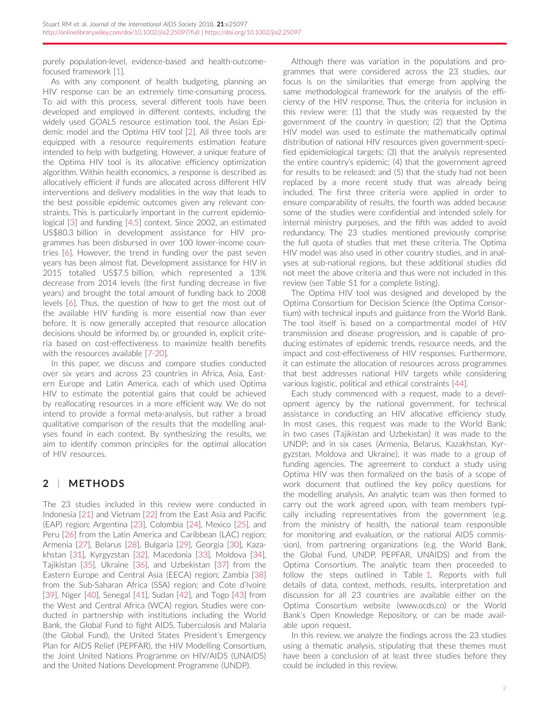purely population-level, evidence-based and health-outcomefocused framework [\[1](#page-10-0)].

As with any component of health budgeting, planning an HIV response can be an extremely time-consuming process. To aid with this process, several different tools have been developed and employed in different contexts, including the widely used GOALS resource estimation tool, the Asian Epidemic model and the Optima HIV tool [\[2](#page-10-0)]. All three tools are equipped with a resource requirements estimation feature intended to help with budgeting. However, a unique feature of the Optima HIV tool is its allocative efficiency optimization algorithm. Within health economics, a response is described as allocatively efficient if funds are allocated across different HIV interventions and delivery modalities in the way that leads to the best possible epidemic outcomes given any relevant constraints. This is particularly important in the current epidemiological [\[3](#page-10-0)] and funding [[4,5\]](#page-10-0) context. Since 2002, an estimated US\$80.3 billion in development assistance for HIV programmes has been disbursed in over 100 lower-income countries [\[6\]](#page-10-0). However, the trend in funding over the past seven years has been almost flat. Development assistance for HIV in 2015 totalled US\$7.5 billion, which represented a 13% decrease from 2014 levels (the first funding decrease in five years) and brought the total amount of funding back to 2008 levels [[6\]](#page-10-0). Thus, the question of how to get the most out of the available HIV funding is more essential now than ever before. It is now generally accepted that resource allocation decisions should be informed by, or grounded in, explicit criteria based on cost-effectiveness to maximize health benefits with the resources available [\[7-20\]](#page-10-0).

In this paper, we discuss and compare studies conducted over six years and across 23 countries in Africa, Asia, Eastern Europe and Latin America, each of which used Optima HIV to estimate the potential gains that could be achieved by reallocating resources in a more efficient way. We do not intend to provide a formal meta-analysis, but rather a broad qualitative comparison of the results that the modelling analyses found in each context. By synthesizing the results, we aim to identify common principles for the optimal allocation of HIV resources.

# 2 | METHODS

The 23 studies included in this review were conducted in Indonesia [\[21\]](#page-11-0) and Vietnam [\[22](#page-11-0)] from the East Asia and Pacific (EAP) region; Argentina [[23](#page-11-0)], Colombia [\[24\]](#page-11-0), Mexico [\[25](#page-11-0)], and Peru [\[26](#page-11-0)] from the Latin America and Caribbean (LAC) region; Armenia [[27](#page-11-0)], Belarus [[28\]](#page-11-0), Bulgaria [[29\]](#page-11-0), Georgia [[30\]](#page-11-0), Kazakhstan [[31](#page-11-0)], Kyrgyzstan [\[32\]](#page-11-0), Macedonia [\[33\]](#page-11-0), Moldova [[34\]](#page-11-0), Tajikistan [\[35](#page-11-0)], Ukraine [\[36\]](#page-11-0), and Uzbekistan [[37\]](#page-11-0) from the Eastern Europe and Central Asia (EECA) region; Zambia [\[38\]](#page-11-0) from the Sub-Saharan Africa (SSA) region; and Cote d'Ivoire [\[39](#page-11-0)], Niger [\[40\]](#page-11-0), Senegal [[41\]](#page-11-0), Sudan [[42\]](#page-11-0), and Togo [[43](#page-11-0)] from the West and Central Africa (WCA) region. Studies were conducted in partnership with institutions including the World Bank, the Global Fund to fight AIDS, Tuberculosis and Malaria (the Global Fund), the United States President's Emergency Plan for AIDS Relief (PEPFAR), the HIV Modelling Consortium, the Joint United Nations Programme on HIV/AIDS (UNAIDS) and the United Nations Development Programme (UNDP).

Although there was variation in the populations and programmes that were considered across the 23 studies, our focus is on the similarities that emerge from applying the same methodological framework for the analysis of the efficiency of the HIV response. Thus, the criteria for inclusion in this review were: (1) that the study was requested by the government of the country in question; (2) that the Optima HIV model was used to estimate the mathematically optimal distribution of national HIV resources given government-specified epidemiological targets; (3) that the analysis represented the entire country's epidemic; (4) that the government agreed for results to be released; and (5) that the study had not been replaced by a more recent study that was already being included. The first three criteria were applied in order to ensure comparability of results, the fourth was added because some of the studies were confidential and intended solely for internal ministry purposes, and the fifth was added to avoid redundancy. The 23 studies mentioned previously comprise the full quota of studies that met these criteria. The Optima HIV model was also used in other country studies, and in analyses at sub-national regions, but these additional studies did not meet the above criteria and thus were not included in this review (see Table S1 for a complete listing).

The Optima HIV tool was designed and developed by the Optima Consortium for Decision Science (the Optima Consortium) with technical inputs and guidance from the World Bank. The tool itself is based on a compartmental model of HIV transmission and disease progression, and is capable of producing estimates of epidemic trends, resource needs, and the impact and cost-effectiveness of HIV responses. Furthermore, it can estimate the allocation of resources across programmes that best addresses national HIV targets while considering various logistic, political and ethical constraints [[44](#page-11-0)].

Each study commenced with a request, made to a development agency by the national government, for technical assistance in conducting an HIV allocative efficiency study. In most cases, this request was made to the World Bank; in two cases (Tajikistan and Uzbekistan) it was made to the UNDP; and in six cases (Armenia, Belarus, Kazakhstan, Kyrgyzstan, Moldova and Ukraine), it was made to a group of funding agencies. The agreement to conduct a study using Optima HIV was then formalized on the basis of a scope of work document that outlined the key policy questions for the modelling analysis. An analytic team was then formed to carry out the work agreed upon, with team members typically including representatives from the government (e.g. from the ministry of health, the national team responsible for monitoring and evaluation, or the national AIDS commission), from partnering organizations (e.g. the World Bank, the Global Fund, UNDP, PEPFAR, UNAIDS) and from the Optima Consortium. The analytic team then proceeded to follow the steps outlined in Table [1.](#page-2-0) Reports with full details of data, context, methods, results, interpretation and discussion for all 23 countries are available either on the Optima Consortium website ([www.ocds.co\)](http://www.ocds.co) or the World Bank's Open Knowledge Repository, or can be made available upon request.

In this review, we analyze the findings across the 23 studies using a thematic analysis, stipulating that these themes must have been a conclusion of at least three studies before they could be included in this review.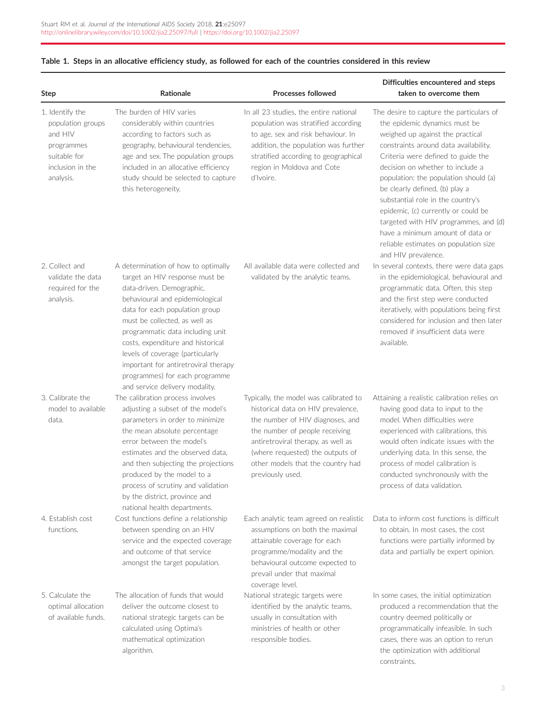| <b>Step</b>                                                                                                    | <b>Rationale</b>                                                                                                                                                                                                                                                                                                                                                                                                                  | <b>Processes followed</b>                                                                                                                                                                                                                                                             | Difficulties encountered and steps<br>taken to overcome them                                                                                                                                                                                                                                                                                                                                                                                                                                                                         |
|----------------------------------------------------------------------------------------------------------------|-----------------------------------------------------------------------------------------------------------------------------------------------------------------------------------------------------------------------------------------------------------------------------------------------------------------------------------------------------------------------------------------------------------------------------------|---------------------------------------------------------------------------------------------------------------------------------------------------------------------------------------------------------------------------------------------------------------------------------------|--------------------------------------------------------------------------------------------------------------------------------------------------------------------------------------------------------------------------------------------------------------------------------------------------------------------------------------------------------------------------------------------------------------------------------------------------------------------------------------------------------------------------------------|
| 1. Identify the<br>population groups<br>and HIV<br>programmes<br>suitable for<br>inclusion in the<br>analysis. | The burden of HIV varies<br>considerably within countries<br>according to factors such as<br>geography, behavioural tendencies,<br>age and sex. The population groups<br>included in an allocative efficiency<br>study should be selected to capture<br>this heterogeneity.                                                                                                                                                       | In all 23 studies, the entire national<br>population was stratified according<br>to age, sex and risk behaviour. In<br>addition, the population was further<br>stratified according to geographical<br>region in Moldova and Cote<br>d'Ivoire.                                        | The desire to capture the particulars of<br>the epidemic dynamics must be<br>weighed up against the practical<br>constraints around data availability.<br>Criteria were defined to guide the<br>decision on whether to include a<br>population: the population should (a)<br>be clearly defined, (b) play a<br>substantial role in the country's<br>epidemic, (c) currently or could be<br>targeted with HIV programmes, and (d)<br>have a minimum amount of data or<br>reliable estimates on population size<br>and HIV prevalence. |
| 2. Collect and<br>validate the data<br>required for the<br>analysis.                                           | A determination of how to optimally<br>target an HIV response must be<br>data-driven. Demographic,<br>behavioural and epidemiological<br>data for each population group<br>must be collected, as well as<br>programmatic data including unit<br>costs, expenditure and historical<br>levels of coverage (particularly<br>important for antiretroviral therapy<br>programmes) for each programme<br>and service delivery modality. | All available data were collected and<br>validated by the analytic teams.                                                                                                                                                                                                             | In several contexts, there were data gaps<br>in the epidemiological, behavioural and<br>programmatic data. Often, this step<br>and the first step were conducted<br>iteratively, with populations being first<br>considered for inclusion and then later<br>removed if insufficient data were<br>available.                                                                                                                                                                                                                          |
| 3. Calibrate the<br>model to available<br>data.                                                                | The calibration process involves<br>adjusting a subset of the model's<br>parameters in order to minimize<br>the mean absolute percentage<br>error between the model's<br>estimates and the observed data.<br>and then subjecting the projections<br>produced by the model to a<br>process of scrutiny and validation<br>by the district, province and<br>national health departments.                                             | Typically, the model was calibrated to<br>historical data on HIV prevalence,<br>the number of HIV diagnoses, and<br>the number of people receiving<br>antiretroviral therapy, as well as<br>(where requested) the outputs of<br>other models that the country had<br>previously used. | Attaining a realistic calibration relies on<br>having good data to input to the<br>model. When difficulties were<br>experienced with calibrations, this<br>would often indicate issues with the<br>underlying data. In this sense, the<br>process of model calibration is<br>conducted synchronously with the<br>process of data validation.                                                                                                                                                                                         |
| 4. Establish cost<br>functions.                                                                                | Cost functions define a relationship<br>between spending on an HIV<br>service and the expected coverage<br>and outcome of that service<br>amongst the target population.                                                                                                                                                                                                                                                          | Each analytic team agreed on realistic<br>assumptions on both the maximal<br>attainable coverage for each<br>programme/modality and the<br>behavioural outcome expected to<br>prevail under that maximal<br>coverage level.                                                           | Data to inform cost functions is difficult<br>to obtain. In most cases, the cost<br>functions were partially informed by<br>data and partially be expert opinion.                                                                                                                                                                                                                                                                                                                                                                    |
| 5. Calculate the<br>optimal allocation<br>of available funds.                                                  | The allocation of funds that would<br>deliver the outcome closest to<br>national strategic targets can be<br>calculated using Optima's<br>mathematical optimization<br>algorithm.                                                                                                                                                                                                                                                 | National strategic targets were<br>identified by the analytic teams,<br>usually in consultation with<br>ministries of health or other<br>responsible bodies.                                                                                                                          | In some cases, the initial optimization<br>produced a recommendation that the<br>country deemed politically or<br>programmatically infeasible. In such<br>cases, there was an option to rerun<br>the optimization with additional<br>constraints.                                                                                                                                                                                                                                                                                    |

# <span id="page-2-0"></span>Table 1. Steps in an allocative efficiency study, as followed for each of the countries considered in this review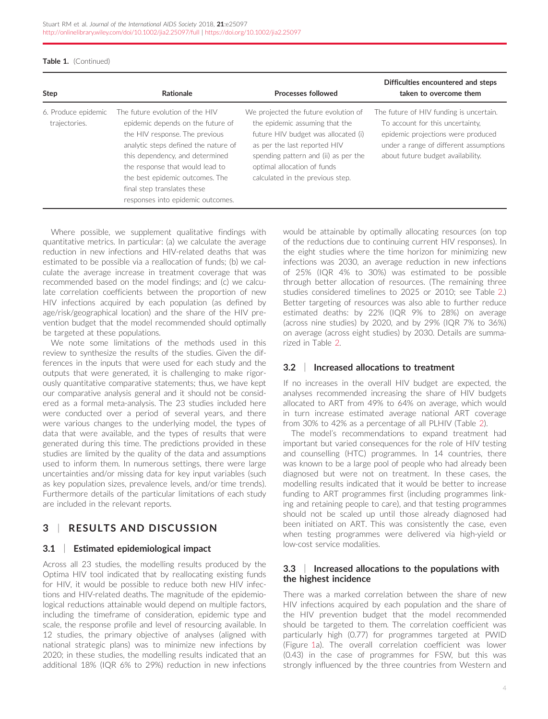| Table 1. (Continued) |  |
|----------------------|--|
|----------------------|--|

| Step                                 | Rationale                                                                                                                                                                                                                                                                                                                   | <b>Processes followed</b>                                                                                                                                                                                                                                | Difficulties encountered and steps<br>taken to overcome them                                                                                                                                     |
|--------------------------------------|-----------------------------------------------------------------------------------------------------------------------------------------------------------------------------------------------------------------------------------------------------------------------------------------------------------------------------|----------------------------------------------------------------------------------------------------------------------------------------------------------------------------------------------------------------------------------------------------------|--------------------------------------------------------------------------------------------------------------------------------------------------------------------------------------------------|
| 6. Produce epidemic<br>trajectories. | The future evolution of the HIV<br>epidemic depends on the future of<br>the HIV response. The previous<br>analytic steps defined the nature of<br>this dependency, and determined<br>the response that would lead to<br>the best epidemic outcomes. The<br>final step translates these<br>responses into epidemic outcomes. | We projected the future evolution of<br>the epidemic assuming that the<br>future HIV budget was allocated (i)<br>as per the last reported HIV<br>spending pattern and (ii) as per the<br>optimal allocation of funds<br>calculated in the previous step. | The future of HIV funding is uncertain.<br>To account for this uncertainty.<br>epidemic projections were produced<br>under a range of different assumptions<br>about future budget availability. |

Where possible, we supplement qualitative findings with quantitative metrics. In particular: (a) we calculate the average reduction in new infections and HIV-related deaths that was estimated to be possible via a reallocation of funds; (b) we calculate the average increase in treatment coverage that was recommended based on the model findings; and (c) we calculate correlation coefficients between the proportion of new HIV infections acquired by each population (as defined by age/risk/geographical location) and the share of the HIV prevention budget that the model recommended should optimally be targeted at these populations.

We note some limitations of the methods used in this review to synthesize the results of the studies. Given the differences in the inputs that were used for each study and the outputs that were generated, it is challenging to make rigorously quantitative comparative statements; thus, we have kept our comparative analysis general and it should not be considered as a formal meta-analysis. The 23 studies included here were conducted over a period of several years, and there were various changes to the underlying model, the types of data that were available, and the types of results that were generated during this time. The predictions provided in these studies are limited by the quality of the data and assumptions used to inform them. In numerous settings, there were large uncertainties and/or missing data for key input variables (such as key population sizes, prevalence levels, and/or time trends). Furthermore details of the particular limitations of each study are included in the relevant reports.

# 3 | RESULTS AND DISCUSSION

### 3.1 | Estimated epidemiological impact

Across all 23 studies, the modelling results produced by the Optima HIV tool indicated that by reallocating existing funds for HIV, it would be possible to reduce both new HIV infections and HIV-related deaths. The magnitude of the epidemiological reductions attainable would depend on multiple factors, including the timeframe of consideration, epidemic type and scale, the response profile and level of resourcing available. In 12 studies, the primary objective of analyses (aligned with national strategic plans) was to minimize new infections by 2020; in these studies, the modelling results indicated that an additional 18% (IQR 6% to 29%) reduction in new infections

would be attainable by optimally allocating resources (on top of the reductions due to continuing current HIV responses). In the eight studies where the time horizon for minimizing new infections was 2030, an average reduction in new infections of 25% (IQR 4% to 30%) was estimated to be possible through better allocation of resources. (The remaining three studies considered timelines to 2025 or 2010; see Table [2](#page-4-0).) Better targeting of resources was also able to further reduce estimated deaths: by 22% (IQR 9% to 28%) on average (across nine studies) by 2020, and by 29% (IQR 7% to 36%) on average (across eight studies) by 2030. Details are summarized in Table [2.](#page-4-0)

### 3.2 | Increased allocations to treatment

If no increases in the overall HIV budget are expected, the analyses recommended increasing the share of HIV budgets allocated to ART from 49% to 64% on average, which would in turn increase estimated average national ART coverage from 30% to 42% as a percentage of all PLHIV (Table [2\)](#page-4-0).

The model's recommendations to expand treatment had important but varied consequences for the role of HIV testing and counselling (HTC) programmes. In 14 countries, there was known to be a large pool of people who had already been diagnosed but were not on treatment. In these cases, the modelling results indicated that it would be better to increase funding to ART programmes first (including programmes linking and retaining people to care), and that testing programmes should not be scaled up until those already diagnosed had been initiated on ART. This was consistently the case, even when testing programmes were delivered via high-yield or low-cost service modalities.

#### 3.3 | Increased allocations to the populations with the highest incidence

There was a marked correlation between the share of new HIV infections acquired by each population and the share of the HIV prevention budget that the model recommended should be targeted to them. The correlation coefficient was particularly high (0.77) for programmes targeted at PWID (Figure [1](#page-8-0)a). The overall correlation coefficient was lower (0.43) in the case of programmes for FSW, but this was strongly influenced by the three countries from Western and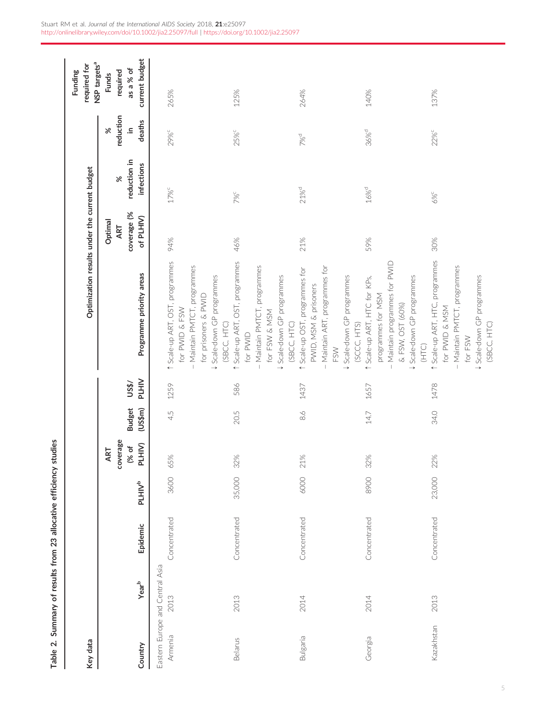<span id="page-4-0"></span>

| Key data        |                                         |              |                    |                                    |                          |                       | Optimization results under the current budget                                                                                                            |                                            |                                        |                                            | NSP targets <sup>a</sup><br>required for<br>Funding     |
|-----------------|-----------------------------------------|--------------|--------------------|------------------------------------|--------------------------|-----------------------|----------------------------------------------------------------------------------------------------------------------------------------------------------|--------------------------------------------|----------------------------------------|--------------------------------------------|---------------------------------------------------------|
| Country         | $Year^b$                                | Epidemic     | PLHIV <sup>b</sup> | coverage<br>PLHIV)<br>(% of<br>ART | <b>Budget</b><br>(US\$m) | <b>PLHIV</b><br>US\$/ | Programme priority areas                                                                                                                                 | coverage (%<br>of PLHIV)<br>Optimal<br>ART | reduction in<br>infections<br>$\aleph$ | reduction<br>deaths<br>$\cong$<br>$\aleph$ | current budget<br>as a % of<br>required<br><b>Funds</b> |
| Armenia         | Eastern Europe and Central Asia<br>2013 | Concentrated | 3600               | 65%                                | 45                       | 1259                  | 1 Scale-up ART, OST, programmes<br>- Maintain PMTCT, programmes<br>↓ Scale-down GP programmes<br>for prisoners & PWID<br>for PWID & FSW                  | 94%                                        | 17% <sup>c</sup>                       | 29%c                                       | 265%                                                    |
| <b>Belarus</b>  | 2013                                    | Concentrated | 35,000             | 32%                                | 20.5                     | 586                   | 1 Scale-up ART, OST, programmes<br>- Maintain PMTCT, programmes<br>↓ Scale-down GP programmes<br>for FSW & MSM<br>(SBCC, HTC)<br>(SBCC, HTC)<br>for PWID | 46%                                        | 7% <sup>C</sup>                        | 25%c                                       | 125%                                                    |
| <b>Bulgaria</b> | 2014                                    | Concentrated | 6000               | 21%                                | $\frac{8}{6}$            | 1437                  | Maintain ART, programmes for<br>1 Scale-up OST, programmes for<br>↓ Scale-down GP programmes<br>PWID, MSM & prisoners<br>FSW                             | 21%                                        | 21% <sup>d</sup>                       | 7%d                                        | 264%                                                    |
| Georgia         | 2014                                    | Concentrated | 8900               | 32%                                | $14.7$                   | 1657                  | Maintain programmes for PVVID<br>↓ Scale-down GP programmes<br>1 Scale-up ART, HTC for KPs,<br>programmes for MSM<br>& FSW, OST (60%)<br>(SCCC, HTS)     | 59%                                        | $16\%^{\rm d}$                         | 36% <sup>d</sup>                           | 140%                                                    |
| Kazakhstan      | 2013                                    | Concentrated | 23,000             | 22%                                | 34.0                     | 1478                  | 1 Scale-up ART, HTC, programmes<br>Maintain PMTCT, programmes<br>V Scale-down GP programmes<br>for PWID & MSM<br>(SBCC, HTC)<br>for FSW<br>(HTC)         | 30%                                        | 6% <sup>c</sup>                        | 22%c                                       | 137%                                                    |

Table 2. Summary of results from 23 allocative efficiency studies

Table 2. Summary of results from 23 allocative efficiency studies

5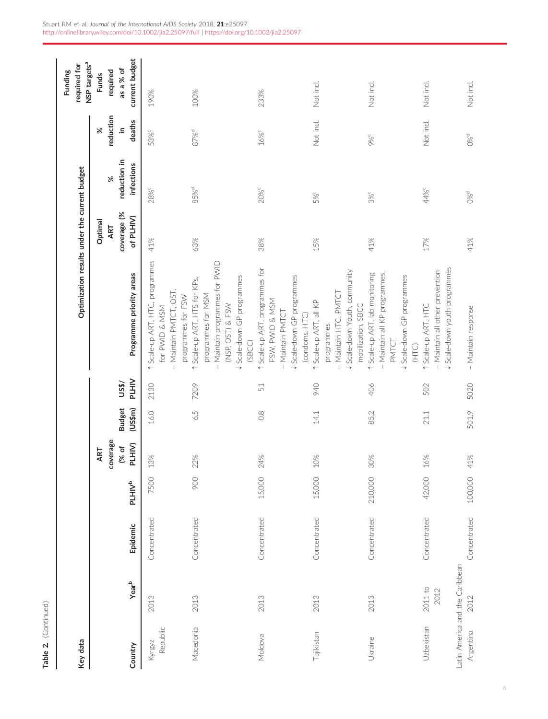| Key data           |                                         |              |                    |                                    |                          |                       | Optimization results under the current budget                                                                                                     |                                            |                                        |                                             | NSP targets <sup>a</sup><br>required for<br>Funding     |
|--------------------|-----------------------------------------|--------------|--------------------|------------------------------------|--------------------------|-----------------------|---------------------------------------------------------------------------------------------------------------------------------------------------|--------------------------------------------|----------------------------------------|---------------------------------------------|---------------------------------------------------------|
| Country            | Year <sup>b</sup>                       | Epidemic     | PLHIV <sup>b</sup> | coverage<br>PLHIV)<br>(% of<br>ART | <b>Budget</b><br>(US\$m) | <b>PLHIV</b><br>US\$/ | Programme priority areas                                                                                                                          | coverage (%<br>of PLHIV)<br>Optimal<br>ART | reduction in<br>infections<br>$\aleph$ | reduction<br>deaths<br>$\equiv$<br>$\aleph$ | current budget<br>as a % of<br>required<br><b>Funds</b> |
| Republic<br>Kyrgyz | 2013                                    | Concentrated | 7500               | 3%                                 | 16.0                     | 2130                  | 1 Scale-up ART, HTC, programmes<br>- Maintain PMTCT, OST,<br>programmes for FSW<br>for PWID & MSM                                                 | 41%                                        | 28% <sup>c</sup>                       | 53% <sup>c</sup>                            | 190%                                                    |
| Macedonia          | 2013                                    | Concentrated | 900                | 22%                                | 6.5                      | 7209                  | - Maintain programmes for PVVID<br>↓ Scale-down GP programmes<br>1 Scale-up ART, HTS for KPs,<br>programmes for MSM<br>(NSP, OST) & FSW<br>(SBCC) | 63%                                        | 85% <sup>d</sup>                       | 87% <sup>d</sup>                            | 100%                                                    |
| Moldova            | 2013                                    | Concentrated | 15,000             | 24%                                | $\frac{8}{2}$            | 51                    | 1 Scale-up ART, programmes for<br><b>\$</b> Scale-down GP programmes<br>FSW, PWID & MSM<br>Maintain PMTCT<br>(condoms, HTC)                       | 38%                                        | 20% <sup>c</sup>                       | 16% <sup>c</sup>                            | 233%                                                    |
| Tajikistan         | 2013                                    | Concentrated | 15,000             | 10%                                | $14.1\,$                 | 940                   | ↓Scale-down Youth, community<br>- Maintain HTC, PMTCT<br>1 Scale-up ART, all KP<br>mobilization, SBCC<br>programmes                               | 15%                                        | 5%                                     | Not incl.                                   | Not incl.                                               |
| Ukraine            | 2013                                    | Concentrated | 210,000            | 30%                                | 85.2                     | 406                   | 1 Scale-up ART, lab monitoring<br>- Maintain all KP programmes,<br>↓ Scale-down GP programmes<br>PMTCT<br>(HTC)                                   | 41%                                        | 3%c                                    | 9%                                          | Not incl.                                               |
| Uzbekistan         | $2011$ to<br>2012                       | Concentrated | 42,000             | 16%                                | 21.1                     | 502                   | \$ Scale-down youth programmes<br>- Maintain all other prevention<br>↑ Scale-up ART, HTC                                                          | 17%                                        | 44% <sup>c</sup>                       | Not incl.                                   | Not incl.                                               |
| Argentina          | Latin America and the Caribbean<br>2012 | Concentrated | 100,000            | 41%                                | 501.9                    | 5020                  | - Maintain response                                                                                                                               | 41%                                        | $O\%$ <sup>d</sup>                     | $O\%^d$                                     | Not incl.                                               |

Table 2. (Continued)

Table 2. (Continued)

6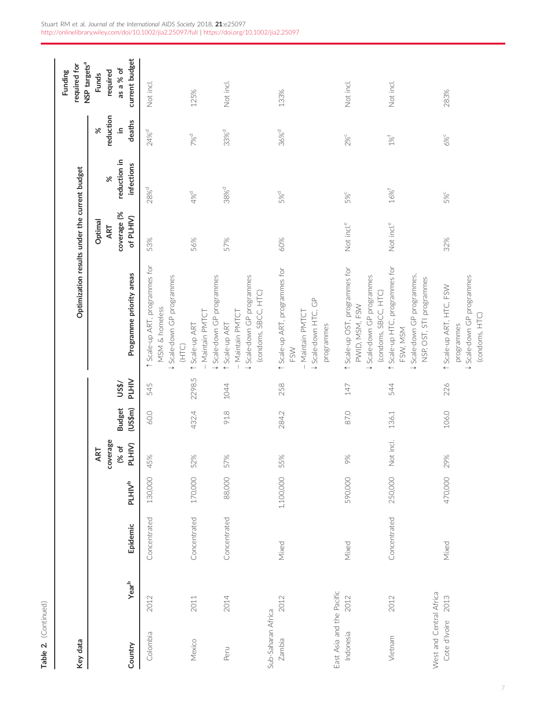| Key data                                 |          |              |                    |                                    |                          |                       | Optimization results under the current budget                                                                        |                                            |                                        |                                        | required for<br>Funding                                                             |
|------------------------------------------|----------|--------------|--------------------|------------------------------------|--------------------------|-----------------------|----------------------------------------------------------------------------------------------------------------------|--------------------------------------------|----------------------------------------|----------------------------------------|-------------------------------------------------------------------------------------|
| Country                                  | $Year^b$ | Epidemic     | PLHIV <sup>b</sup> | coverage<br>PLHIV)<br>(% of<br>ART | (US\$m)<br><b>Budget</b> | <b>PLHIV</b><br>US\$/ | Programme priority areas                                                                                             | coverage (%<br>of PLHIV)<br>Optimal<br>ART | reduction in<br>infections<br>$\aleph$ | reduction<br>deaths<br>ءِ.<br>$\aleph$ | current budget<br>NSP targets <sup>a</sup><br>as a % of<br>required<br><b>Funds</b> |
| Colombia                                 | 2012     | Concentrated | 130,000            | 45%                                | 60.0                     | 545                   | 1 Scale-up ART, programmes for<br>Scale-down GP programmes<br>MSM & homeless<br>(HTC)<br>$\rightarrow$               | 53%                                        | 28% <sup>d</sup>                       | 24% <sup>d</sup>                       | Not incl.                                                                           |
| Mexico                                   | 2011     | Concentrated | 170,000            | 52%                                | 432.4                    | 2298.5                | - Maintain PMTCT<br>1 Scale-up ART                                                                                   | 56%                                        | 4% <sup>d</sup>                        | 7%d                                    | 125%                                                                                |
| Peru                                     | 2014     | Concentrated | 88,000             | 57%                                | 91.8                     | 1044                  | ↓ Scale-down GP programmes<br>↓ Scale-down GP programmes<br>(condoms, SBCC, HTC)<br>Maintain PMTCT<br>1 Scale-up ART | 57%                                        | $38%$ <sup>d</sup>                     | $33%$ <sup>d</sup>                     | Not incl.                                                                           |
| Sub-Saharan Africa<br>Zambia             | 2012     | Mixed        | 1,100,000          | 55%                                | 284.2                    | 258                   | 1 Scale-up ART, programmes for<br>↓ Scale-down HTC, GP<br>Maintain PMTCT<br>programmes<br>FSW                        | 60%                                        | 5%d                                    | 36% <sup>d</sup>                       | 133%                                                                                |
| East Asia and the Pacific<br>Indonesia   | 2012     | Mixed        | 590,000            | 9%                                 | 87.0                     | 147                   | 1 Scale-up OST, programmes for<br>↓ Scale-down GP programmes<br>(condoms, SBCC, HTC)<br>PWID, MSM, FSW               | Not incl. <sup>e</sup>                     | 5%c                                    | 2%c                                    | Not incl.                                                                           |
| Vietnam                                  | 2012     | Concentrated | 250,000            | Not incl.                          | 136.1                    | 544                   | 1 Scale-up HTC, programmes for<br>↓ Scale-down GP programmes,<br>NSP, OST, STI programmes<br>FSW, MSM                | Not incl. <sup>e</sup>                     | $16%^{f}$                              | $1\%^\dagger$                          | Not incl.                                                                           |
| West and Central Africa<br>Cote d'Ivoire | 2013     | Mixed        | 470,000            | 29%                                | 106.0                    | 226                   | ↓ Scale-down GP programmes<br>1 Scale-up ART, HTC, FSW<br>(condoms, HTC)<br>programmes                               | 32%                                        | 5%c                                    | 6%°                                    | 283%                                                                                |

Table 2. (Continued)

Table 2. (Continued)

7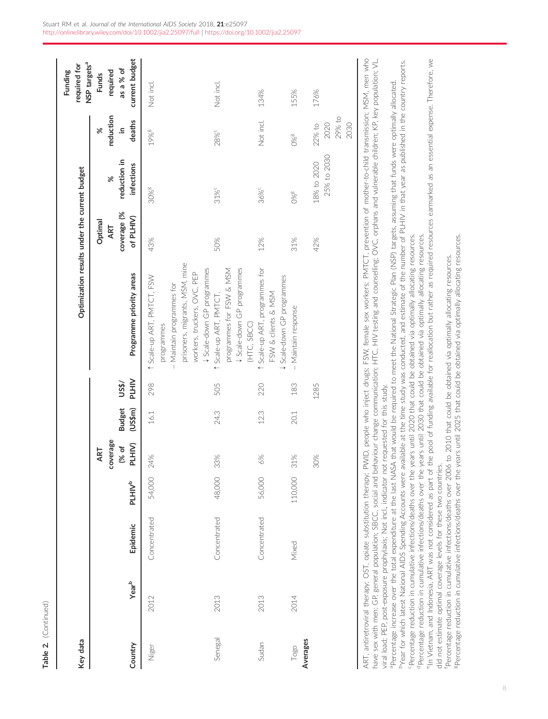| Key data |                                                                                                                                                                                                                                         |              |                    |                                    |                          |                       | Optimization results under the current budget                                                                                                                                                                                                                                                                                                                                                                                                                                                                                                                                                                                                                                                                                                                                                                                                                                                                                                                                                                                                                                                                                                                                                                                                                                                                                                                                            |                                            |                                  |                                        | NSP targets <sup>a</sup><br>required for<br>Funding     |
|----------|-----------------------------------------------------------------------------------------------------------------------------------------------------------------------------------------------------------------------------------------|--------------|--------------------|------------------------------------|--------------------------|-----------------------|------------------------------------------------------------------------------------------------------------------------------------------------------------------------------------------------------------------------------------------------------------------------------------------------------------------------------------------------------------------------------------------------------------------------------------------------------------------------------------------------------------------------------------------------------------------------------------------------------------------------------------------------------------------------------------------------------------------------------------------------------------------------------------------------------------------------------------------------------------------------------------------------------------------------------------------------------------------------------------------------------------------------------------------------------------------------------------------------------------------------------------------------------------------------------------------------------------------------------------------------------------------------------------------------------------------------------------------------------------------------------------------|--------------------------------------------|----------------------------------|----------------------------------------|---------------------------------------------------------|
| Country  | $Year^b$                                                                                                                                                                                                                                | Epidemic     | PLHIV <sup>b</sup> | coverage<br>PLHIV)<br>(% of<br>ART | <b>Budget</b><br>(US\$m) | <b>PLHIV</b><br>US\$/ | Programme priority areas                                                                                                                                                                                                                                                                                                                                                                                                                                                                                                                                                                                                                                                                                                                                                                                                                                                                                                                                                                                                                                                                                                                                                                                                                                                                                                                                                                 | coverage (%<br>of PLHIV)<br>Optimal<br>ART | reduction in<br>infections<br>৯ৎ | reduction<br>deaths<br>$\aleph$<br>≘.  | current budget<br>as a % of<br>required<br><b>Funds</b> |
| Niger    | 2012                                                                                                                                                                                                                                    | Concentrated | 54,000             | 24%                                | 16.1                     | 298                   | prisoners, migrants, MSM, mine<br>workers, truckers, OVC, PEP<br>Scale-up ART, PMTCT, FSW<br>Maintain programmes for<br>programmes                                                                                                                                                                                                                                                                                                                                                                                                                                                                                                                                                                                                                                                                                                                                                                                                                                                                                                                                                                                                                                                                                                                                                                                                                                                       | 43%                                        | 30% <sup>g</sup>                 | 19%8                                   | Not incl.                                               |
| Senegal  | 2013                                                                                                                                                                                                                                    | Concentrated | 48,000             | 33%                                | 24.3                     | 505                   | ↓ Scale-down GP programmes<br>\$ Scale-down GP programmes<br>programmes for FSW & MSM<br>↑ Scale-up ART, PMTCT,<br>(HTC, SBCC)                                                                                                                                                                                                                                                                                                                                                                                                                                                                                                                                                                                                                                                                                                                                                                                                                                                                                                                                                                                                                                                                                                                                                                                                                                                           | 50%                                        | 31% <sup>c</sup>                 | 28%c                                   | Not incl.                                               |
| Sudan    | 2013                                                                                                                                                                                                                                    | Concentrated | 56,000             | 6%                                 | 12.3                     | 220                   | 1 Scale-up ART, programmes for<br>Scale-down GP programmes<br>FSW & clients & MSM                                                                                                                                                                                                                                                                                                                                                                                                                                                                                                                                                                                                                                                                                                                                                                                                                                                                                                                                                                                                                                                                                                                                                                                                                                                                                                        | 12%                                        | 36% <sup>c</sup>                 | Not incl.                              | 134%                                                    |
| Togo     | 2014                                                                                                                                                                                                                                    | Mixed        | 110,000            | 31%                                | 201                      | 183                   | Maintain response                                                                                                                                                                                                                                                                                                                                                                                                                                                                                                                                                                                                                                                                                                                                                                                                                                                                                                                                                                                                                                                                                                                                                                                                                                                                                                                                                                        | 31%                                        | O%                               | 0%8                                    | 155%                                                    |
| Averages |                                                                                                                                                                                                                                         |              |                    | 30%                                |                          | 1285                  |                                                                                                                                                                                                                                                                                                                                                                                                                                                                                                                                                                                                                                                                                                                                                                                                                                                                                                                                                                                                                                                                                                                                                                                                                                                                                                                                                                                          | 42%                                        | 25% to 2030<br>18% to 2020       | $29\%$ to<br>2020<br>2030<br>$22\%$ to | 176%                                                    |
|          | viral load; PEP, post-exposure prophylaxis; Not incl., indicator not requested for this study.<br>did not estimate optimal coverage levels for these two countries.<br>ART, antiretroviral therapy; OST, opiate substitution therapy; I |              |                    |                                    |                          |                       | PWID, people who inject drugs; FSW, female sex workers; PMTCT, prevention of mother-to-child transmission; MSM, men who<br><sup>e</sup> In Vietnam, and Indonesia, ART was not considered as part of the pool of funding available for reallocation but rather as required resources earmarked as an essential expense. Therefore, we<br>have sex with men; GP, general population; SBCC, social and behaviour change communication; HTC, HIV testing and counselling; OVC, orphans and vulnerable children; KP, key population; VL.<br><sup>b</sup> Year for which latest National AIDS Spending Accounts were available at the time study was conducted, and estimate of the number of PLHIV in that year as published in the country reports.<br>Percentage increase over the total expenditure at the last NASA that would be required to meet the National Strategic Plan (NSP) targets, assuming that funds were optimally allocated.<br>"Percentage reduction in cumulative infections/deaths over the years until 2020 that could be obtained via optimally allocating resources.<br><sup>d</sup> Percentage reduction in cumulative infections/deaths over the years until 2030 that could be obtained via optimally allocating resources.<br>Percentage reduction in cumulative infections/deaths over 2006 to 2010 that could be obtained via optimally allocating resources. |                                            |                                  |                                        |                                                         |
|          |                                                                                                                                                                                                                                         |              |                    |                                    |                          |                       | <sup>8</sup> Percentage reduction in cumulative infections/deaths over the years until 2025 that could be obtained via optimally allocating resources.                                                                                                                                                                                                                                                                                                                                                                                                                                                                                                                                                                                                                                                                                                                                                                                                                                                                                                                                                                                                                                                                                                                                                                                                                                   |                                            |                                  |                                        |                                                         |

Table 2. (Continued)

Table 2. (Continued)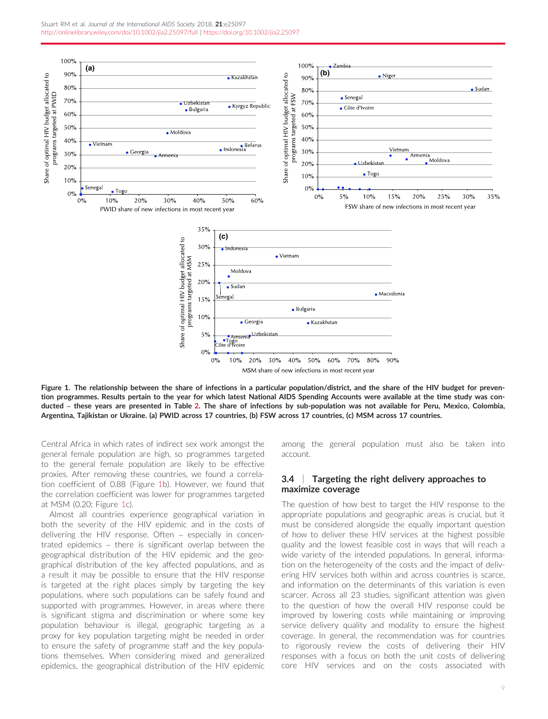<span id="page-8-0"></span>

Figure 1. The relationship between the share of infections in a particular population/district, and the share of the HIV budget for prevention programmes. Results pertain to the year for which latest National AIDS Spending Accounts were available at the time study was conducted – these years are presented in Table [2](#page-4-0). The share of infections by sub-population was not available for Peru, Mexico, Colombia, Argentina, Tajikistan or Ukraine. (a) PWID across 17 countries, (b) FSW across 17 countries, (c) MSM across 17 countries.

Central Africa in which rates of indirect sex work amongst the general female population are high, so programmes targeted to the general female population are likely to be effective proxies. After removing these countries, we found a correlation coefficient of 0.88 (Figure 1b). However, we found that the correlation coefficient was lower for programmes targeted at MSM (0.20; Figure 1c).

Almost all countries experience geographical variation in both the severity of the HIV epidemic and in the costs of delivering the HIV response. Often – especially in concentrated epidemics – there is significant overlap between the geographical distribution of the HIV epidemic and the geographical distribution of the key affected populations, and as a result it may be possible to ensure that the HIV response is targeted at the right places simply by targeting the key populations, where such populations can be safely found and supported with programmes. However, in areas where there is significant stigma and discrimination or where some key population behaviour is illegal, geographic targeting as a proxy for key population targeting might be needed in order to ensure the safety of programme staff and the key populations themselves. When considering mixed and generalized epidemics, the geographical distribution of the HIV epidemic among the general population must also be taken into account.

### 3.4 | Targeting the right delivery approaches to maximize coverage

The question of how best to target the HIV response to the appropriate populations and geographic areas is crucial, but it must be considered alongside the equally important question of how to deliver these HIV services at the highest possible quality and the lowest feasible cost in ways that will reach a wide variety of the intended populations. In general, information on the heterogeneity of the costs and the impact of delivering HIV services both within and across countries is scarce, and information on the determinants of this variation is even scarcer. Across all 23 studies, significant attention was given to the question of how the overall HIV response could be improved by lowering costs while maintaining or improving service delivery quality and modality to ensure the highest coverage. In general, the recommendation was for countries to rigorously review the costs of delivering their HIV responses with a focus on both the unit costs of delivering core HIV services and on the costs associated with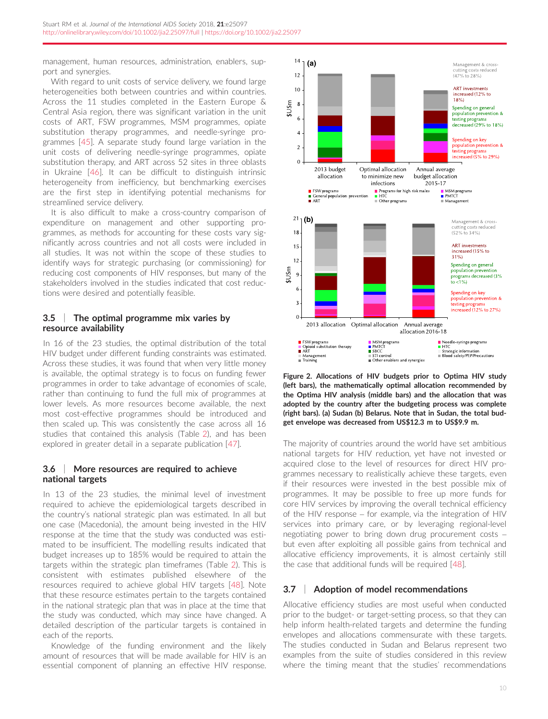<span id="page-9-0"></span>management, human resources, administration, enablers, support and synergies.

With regard to unit costs of service delivery, we found large heterogeneities both between countries and within countries. Across the 11 studies completed in the Eastern Europe & Central Asia region, there was significant variation in the unit costs of ART, FSW programmes, MSM programmes, opiate substitution therapy programmes, and needle-syringe programmes [\[45](#page-11-0)]. A separate study found large variation in the unit costs of delivering needle-syringe programmes, opiate substitution therapy, and ART across 52 sites in three oblasts in Ukraine [[46\]](#page-11-0). It can be difficult to distinguish intrinsic heterogeneity from inefficiency, but benchmarking exercises are the first step in identifying potential mechanisms for streamlined service delivery.

It is also difficult to make a cross-country comparison of expenditure on management and other supporting programmes, as methods for accounting for these costs vary significantly across countries and not all costs were included in all studies. It was not within the scope of these studies to identify ways for strategic purchasing (or commissioning) for reducing cost components of HIV responses, but many of the stakeholders involved in the studies indicated that cost reductions were desired and potentially feasible.

### 3.5 | The optimal programme mix varies by resource availability

In 16 of the 23 studies, the optimal distribution of the total HIV budget under different funding constraints was estimated. Across these studies, it was found that when very little money is available, the optimal strategy is to focus on funding fewer programmes in order to take advantage of economies of scale, rather than continuing to fund the full mix of programmes at lower levels. As more resources become available, the next most cost-effective programmes should be introduced and then scaled up. This was consistently the case across all 16 studies that contained this analysis (Table [2](#page-4-0)), and has been explored in greater detail in a separate publication [[47\]](#page-11-0).

### 3.6 | More resources are required to achieve national targets

In 13 of the 23 studies, the minimal level of investment required to achieve the epidemiological targets described in the country's national strategic plan was estimated. In all but one case (Macedonia), the amount being invested in the HIV response at the time that the study was conducted was estimated to be insufficient. The modelling results indicated that budget increases up to 185% would be required to attain the targets within the strategic plan timeframes (Table [2](#page-4-0)). This is consistent with estimates published elsewhere of the resources required to achieve global HIV targets [\[48](#page-11-0)]. Note that these resource estimates pertain to the targets contained in the national strategic plan that was in place at the time that the study was conducted, which may since have changed. A detailed description of the particular targets is contained in each of the reports.

Knowledge of the funding environment and the likely amount of resources that will be made available for HIV is an essential component of planning an effective HIV response.



Figure 2. Allocations of HIV budgets prior to Optima HIV study (left bars), the mathematically optimal allocation recommended by the Optima HIV analysis (middle bars) and the allocation that was adopted by the country after the budgeting process was complete (right bars). (a) Sudan (b) Belarus. Note that in Sudan, the total budget envelope was decreased from US\$12.3 m to US\$9.9 m.

The majority of countries around the world have set ambitious national targets for HIV reduction, yet have not invested or acquired close to the level of resources for direct HIV programmes necessary to realistically achieve these targets, even if their resources were invested in the best possible mix of programmes. It may be possible to free up more funds for core HIV services by improving the overall technical efficiency of the HIV response – for example, via the integration of HIV services into primary care, or by leveraging regional-level negotiating power to bring down drug procurement costs – but even after exploiting all possible gains from technical and allocative efficiency improvements, it is almost certainly still the case that additional funds will be required [[48](#page-11-0)].

### 3.7 | Adoption of model recommendations

Allocative efficiency studies are most useful when conducted prior to the budget- or target-setting process, so that they can help inform health-related targets and determine the funding envelopes and allocations commensurate with these targets. The studies conducted in Sudan and Belarus represent two examples from the suite of studies considered in this review where the timing meant that the studies' recommendations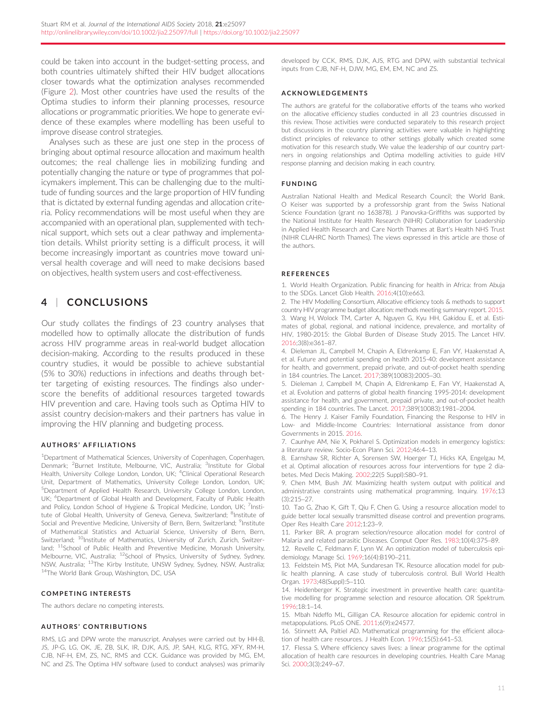<span id="page-10-0"></span>could be taken into account in the budget-setting process, and both countries ultimately shifted their HIV budget allocations closer towards what the optimization analyses recommended (Figure [2](#page-9-0)). Most other countries have used the results of the Optima studies to inform their planning processes, resource allocations or programmatic priorities. We hope to generate evidence of these examples where modelling has been useful to improve disease control strategies.

Analyses such as these are just one step in the process of bringing about optimal resource allocation and maximum health outcomes; the real challenge lies in mobilizing funding and potentially changing the nature or type of programmes that policymakers implement. This can be challenging due to the multitude of funding sources and the large proportion of HIV funding that is dictated by external funding agendas and allocation criteria. Policy recommendations will be most useful when they are accompanied with an operational plan, supplemented with technical support, which sets out a clear pathway and implementation details. Whilst priority setting is a difficult process, it will become increasingly important as countries move toward universal health coverage and will need to make decisions based on objectives, health system users and cost-effectiveness.

# 4 | CONCLUSIONS

Our study collates the findings of 23 country analyses that modelled how to optimally allocate the distribution of funds across HIV programme areas in real-world budget allocation decision-making. According to the results produced in these country studies, it would be possible to achieve substantial (5% to 30%) reductions in infections and deaths through better targeting of existing resources. The findings also underscore the benefits of additional resources targeted towards HIV prevention and care. Having tools such as Optima HIV to assist country decision-makers and their partners has value in improving the HIV planning and budgeting process.

#### AUTHORS ' AFFILIATIONS

<sup>1</sup>Department of Mathematical Sciences, University of Copenhagen, Copenhagen, Denmark; <sup>2</sup>Burnet Institute, Melbourne, VIC, Australia; <sup>3</sup>Institute for Global Health, University College London, London, UK; <sup>4</sup>Clinical Operational Research Unit, Department of Mathematics, University College London, London, UK; 5 Department of Applied Health Research, University College London, London, UK; <sup>6</sup>Department of Global Health and Development, Faculty of Public Health and Policy, London School of Hygiene & Tropical Medicine, London, UK; <sup>7</sup>Institute of Global Health, University of Geneva, Geneva, Switzerland; <sup>8</sup>Institute of Social and Preventive Medicine, University of Bern, Bern, Switzerland; <sup>9</sup>Institute of Mathematical Statistics and Actuarial Science, University of Bern, Bern, Switzerland; <sup>10</sup>Institute of Mathematics, University of Zurich, Zurich, Switzerland; <sup>11</sup>School of Public Health and Preventive Medicine, Monash University, Melbourne, VIC, Australia; <sup>12</sup>School of Physics, University of Sydney, Sydney, NSW, Australia; 13The Kirby Institute, UNSW Sydney, Sydney, NSW, Australia; <sup>14</sup>The World Bank Group, Washington, DC, USA

#### COMPETING INTERESTS

The authors declare no competing interests.

#### AUTHORS ' CONTRIBUTIONS

RMS, LG and DPW wrote the manuscript. Analyses were carried out by HH-B, JS, JP-G, LG, OK, JE, ZB, SLK, IR, DJK, AJS, JP, SAH, KLG, RTG, XFY, RM-H, CJB, NF-H, EM, ZS, NC, RMS and CCK. Guidance was provided by MG, EM, NC and ZS. The Optima HIV software (used to conduct analyses) was primarily developed by CCK, RMS, DJK, AJS, RTG and DPW, with substantial technical inputs from CJB, NF-H, DJW, MG, EM, EM, NC and ZS.

#### ACKNOWLEDGEMENTS

The authors are grateful for the collaborative efforts of the teams who worked on the allocative efficiency studies conducted in all 23 countries discussed in this review. Those activities were conducted separately to this research project but discussions in the country planning activities were valuable in highlighting distinct principles of relevance to other settings globally which created some motivation for this research study. We value the leadership of our country partners in ongoing relationships and Optima modelling activities to guide HIV response planning and decision making in each country.

#### FUNDING

Australian National Health and Medical Research Council; the World Bank. O Keiser was supported by a professorship grant from the Swiss National Science Foundation (grant no 163878). J Panovska-Griffiths was supported by the National Institute for Health Research (NIHR) Collaboration for Leadership in Applied Health Research and Care North Thames at Bart's Health NHS Trust (NIHR CLAHRC North Thames). The views expressed in this article are those of the authors.

#### **REFERENCES**

1. World Health Organization. Public financing for health in Africa: from Abuja to the SDGs. Lancet Glob Health. 2016;4(10):e663.

2. The HIV Modelling Consortium, Allocative efficiency tools & methods to support country HIV programme budget allocation: methods meeting summary report. 2015. 3. Wang H, Wolock TM, Carter A, Nguyen G, Kyu HH, Gakidou E, et al. Estimates of global, regional, and national incidence, prevalence, and mortality of HIV, 1980-2015: the Global Burden of Disease Study 2015. The Lancet HIV. 2016;3(8):e361–87.

4. Dieleman JL, Campbell M, Chapin A, Eldrenkamp E, Fan VY, Haakenstad A, et al. Future and potential spending on health 2015-40: development assistance for health, and government, prepaid private, and out-of-pocket health spending in 184 countries. The Lancet. 2017;389(10083):2005–30.

5. Dieleman J, Campbell M, Chapin A, Eldrenkamp E, Fan VY, Haakenstad A, et al. Evolution and patterns of global health financing 1995-2014: development assistance for health, and government, prepaid private, and out-of-pocket health spending in 184 countries. The Lancet. 2017;389(10083):1981–2004.

6. The Henry J. Kaiser Family Foundation, Financing the Response to HIV in Low- and Middle-Income Countries: International assistance from donor Governments in 2015. 2016.

7. Caunhye AM, Nie X, Pokharel S. Optimization models in emergency logistics: a literature review. Socio-Econ Plann Sci. 2012;46:4–13.

8. Earnshaw SR, Richter A, Sorensen SW, Hoerger TJ, Hicks KA, Engelgau M, et al. Optimal allocation of resources across four interventions for type 2 diabetes. Med Decis Making. 2002;22(5 Suppl):S80–91.

9. Chen MM, Bush JW. Maximizing health system output with political and administrative constraints using mathematical programming. Inquiry. 1976;13 (3):215–27.

10. Tao G, Zhao K, Gift T, Qiu F, Chen G. Using a resource allocation model to guide better local sexually transmitted disease control and prevention programs. Oper Res Health Care 2012;1:23–9.

11. Parker BR. A program selection/resource allocation model for control of Malaria and related parasitic Diseases. Comput Oper Res. 1983;10(4):375–89. 12. Revelle C, Feldmann F, Lynn W. An optimization model of tuberculosis epi-

demiology. Manage Sci. 1969;16(4):B190–211. 13. Feldstein MS, Piot MA, Sundaresan TK. Resource allocation model for pub-

lic health planning. A case study of tuberculosis control. Bull World Health Organ. 1973;48(Suppl):5–110. 14. Heidenberger K. Strategic investment in preventive health care: quantita-

tive modelling for programme selection and resource allocation. OR Spektrum. 1996;18:1–14.

15. Mbah Ndeffo ML, Gilligan CA. Resource allocation for epidemic control in metapopulations. PLoS ONE. 2011;6(9):e24577.

16. Stinnett AA, Paltiel AD. Mathematical programming for the efficient allocation of health care resources. J Health Econ. 1996;15(5):641–53.

17. Flessa S. Where efficiency saves lives: a linear programme for the optimal allocation of health care resources in developing countries. Health Care Manag Sci. 2000;3(3):249–67.